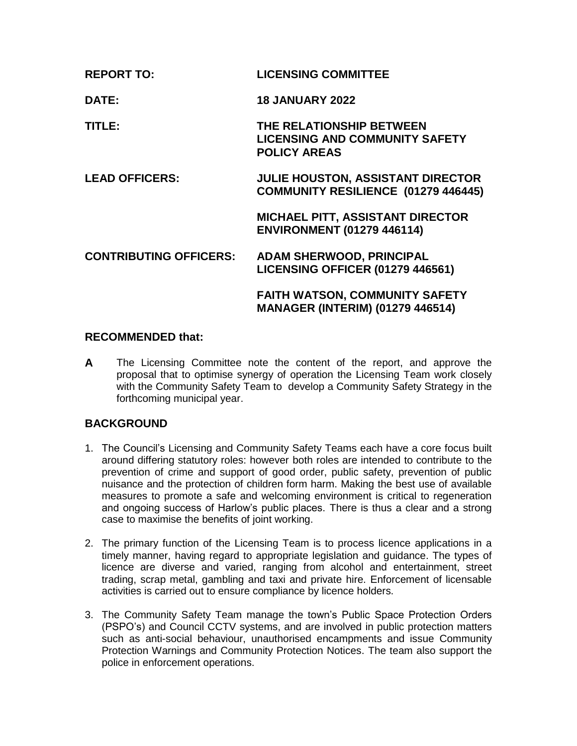| <b>REPORT TO:</b>             | <b>LICENSING COMMITTEE</b>                                                               |
|-------------------------------|------------------------------------------------------------------------------------------|
| DATE:                         | <b>18 JANUARY 2022</b>                                                                   |
| TITLE:                        | THE RELATIONSHIP BETWEEN<br><b>LICENSING AND COMMUNITY SAFETY</b><br><b>POLICY AREAS</b> |
| <b>LEAD OFFICERS:</b>         | <b>JULIE HOUSTON, ASSISTANT DIRECTOR</b><br>COMMUNITY RESILIENCE (01279 446445)          |
|                               | <b>MICHAEL PITT, ASSISTANT DIRECTOR</b><br><b>ENVIRONMENT (01279 446114)</b>             |
| <b>CONTRIBUTING OFFICERS:</b> | <b>ADAM SHERWOOD, PRINCIPAL</b><br><b>LICENSING OFFICER (01279 446561)</b>               |
|                               | <b>FAITH WATSON, COMMUNITY SAFETY</b><br><b>MANAGER (INTERIM) (01279 446514)</b>         |

## **RECOMMENDED that:**

**A** The Licensing Committee note the content of the report, and approve the proposal that to optimise synergy of operation the Licensing Team work closely with the Community Safety Team to develop a Community Safety Strategy in the forthcoming municipal year.

# **BACKGROUND**

- 1. The Council's Licensing and Community Safety Teams each have a core focus built around differing statutory roles: however both roles are intended to contribute to the prevention of crime and support of good order, public safety, prevention of public nuisance and the protection of children form harm. Making the best use of available measures to promote a safe and welcoming environment is critical to regeneration and ongoing success of Harlow's public places. There is thus a clear and a strong case to maximise the benefits of joint working.
- 2. The primary function of the Licensing Team is to process licence applications in a timely manner, having regard to appropriate legislation and guidance. The types of licence are diverse and varied, ranging from alcohol and entertainment, street trading, scrap metal, gambling and taxi and private hire. Enforcement of licensable activities is carried out to ensure compliance by licence holders.
- 3. The Community Safety Team manage the town's Public Space Protection Orders (PSPO's) and Council CCTV systems, and are involved in public protection matters such as anti-social behaviour, unauthorised encampments and issue Community Protection Warnings and Community Protection Notices. The team also support the police in enforcement operations.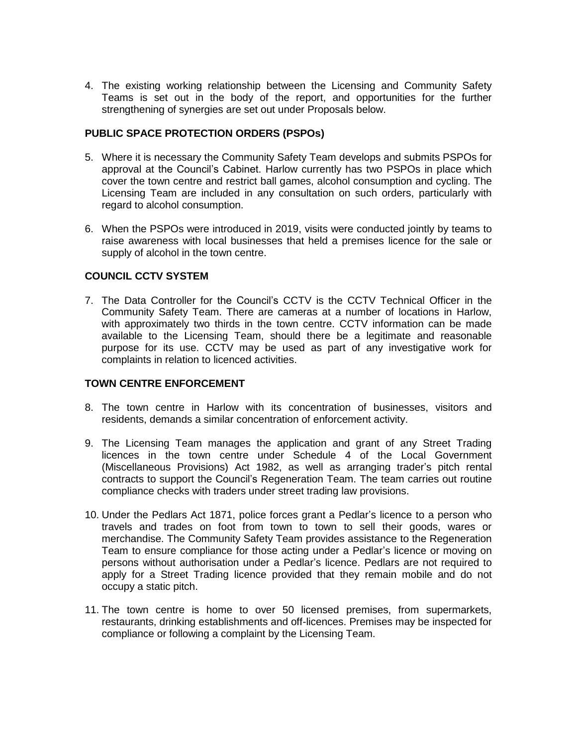4. The existing working relationship between the Licensing and Community Safety Teams is set out in the body of the report, and opportunities for the further strengthening of synergies are set out under Proposals below.

### **PUBLIC SPACE PROTECTION ORDERS (PSPOs)**

- 5. Where it is necessary the Community Safety Team develops and submits PSPOs for approval at the Council's Cabinet. Harlow currently has two PSPOs in place which cover the town centre and restrict ball games, alcohol consumption and cycling. The Licensing Team are included in any consultation on such orders, particularly with regard to alcohol consumption.
- 6. When the PSPOs were introduced in 2019, visits were conducted jointly by teams to raise awareness with local businesses that held a premises licence for the sale or supply of alcohol in the town centre.

## **COUNCIL CCTV SYSTEM**

7. The Data Controller for the Council's CCTV is the CCTV Technical Officer in the Community Safety Team. There are cameras at a number of locations in Harlow, with approximately two thirds in the town centre. CCTV information can be made available to the Licensing Team, should there be a legitimate and reasonable purpose for its use. CCTV may be used as part of any investigative work for complaints in relation to licenced activities.

### **TOWN CENTRE ENFORCEMENT**

- 8. The town centre in Harlow with its concentration of businesses, visitors and residents, demands a similar concentration of enforcement activity.
- 9. The Licensing Team manages the application and grant of any Street Trading licences in the town centre under Schedule 4 of the Local Government (Miscellaneous Provisions) Act 1982, as well as arranging trader's pitch rental contracts to support the Council's Regeneration Team. The team carries out routine compliance checks with traders under street trading law provisions.
- 10. Under the Pedlars Act 1871, police forces grant a Pedlar's licence to a person who travels and trades on foot from town to town to sell their goods, wares or merchandise. The Community Safety Team provides assistance to the Regeneration Team to ensure compliance for those acting under a Pedlar's licence or moving on persons without authorisation under a Pedlar's licence. Pedlars are not required to apply for a Street Trading licence provided that they remain mobile and do not occupy a static pitch.
- 11. The town centre is home to over 50 licensed premises, from supermarkets, restaurants, drinking establishments and off-licences. Premises may be inspected for compliance or following a complaint by the Licensing Team.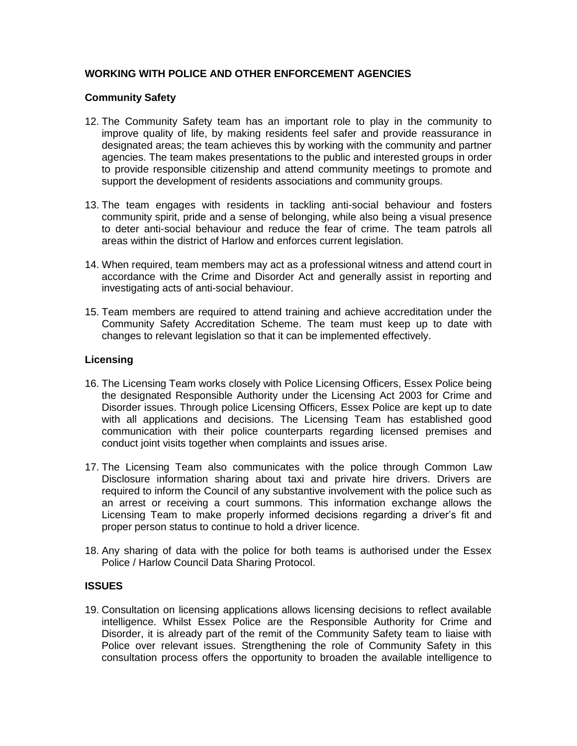# **WORKING WITH POLICE AND OTHER ENFORCEMENT AGENCIES**

## **Community Safety**

- 12. The Community Safety team has an important role to play in the community to improve quality of life, by making residents feel safer and provide reassurance in designated areas; the team achieves this by working with the community and partner agencies. The team makes presentations to the public and interested groups in order to provide responsible citizenship and attend community meetings to promote and support the development of residents associations and community groups.
- 13. The team engages with residents in tackling anti-social behaviour and fosters community spirit, pride and a sense of belonging, while also being a visual presence to deter anti-social behaviour and reduce the fear of crime. The team patrols all areas within the district of Harlow and enforces current legislation.
- 14. When required, team members may act as a professional witness and attend court in accordance with the Crime and Disorder Act and generally assist in reporting and investigating acts of anti-social behaviour.
- 15. Team members are required to attend training and achieve accreditation under the Community Safety Accreditation Scheme. The team must keep up to date with changes to relevant legislation so that it can be implemented effectively.

## **Licensing**

- 16. The Licensing Team works closely with Police Licensing Officers, Essex Police being the designated Responsible Authority under the Licensing Act 2003 for Crime and Disorder issues. Through police Licensing Officers, Essex Police are kept up to date with all applications and decisions. The Licensing Team has established good communication with their police counterparts regarding licensed premises and conduct joint visits together when complaints and issues arise.
- 17. The Licensing Team also communicates with the police through Common Law Disclosure information sharing about taxi and private hire drivers. Drivers are required to inform the Council of any substantive involvement with the police such as an arrest or receiving a court summons. This information exchange allows the Licensing Team to make properly informed decisions regarding a driver's fit and proper person status to continue to hold a driver licence.
- 18. Any sharing of data with the police for both teams is authorised under the Essex Police / Harlow Council Data Sharing Protocol.

## **ISSUES**

19. Consultation on licensing applications allows licensing decisions to reflect available intelligence. Whilst Essex Police are the Responsible Authority for Crime and Disorder, it is already part of the remit of the Community Safety team to liaise with Police over relevant issues. Strengthening the role of Community Safety in this consultation process offers the opportunity to broaden the available intelligence to